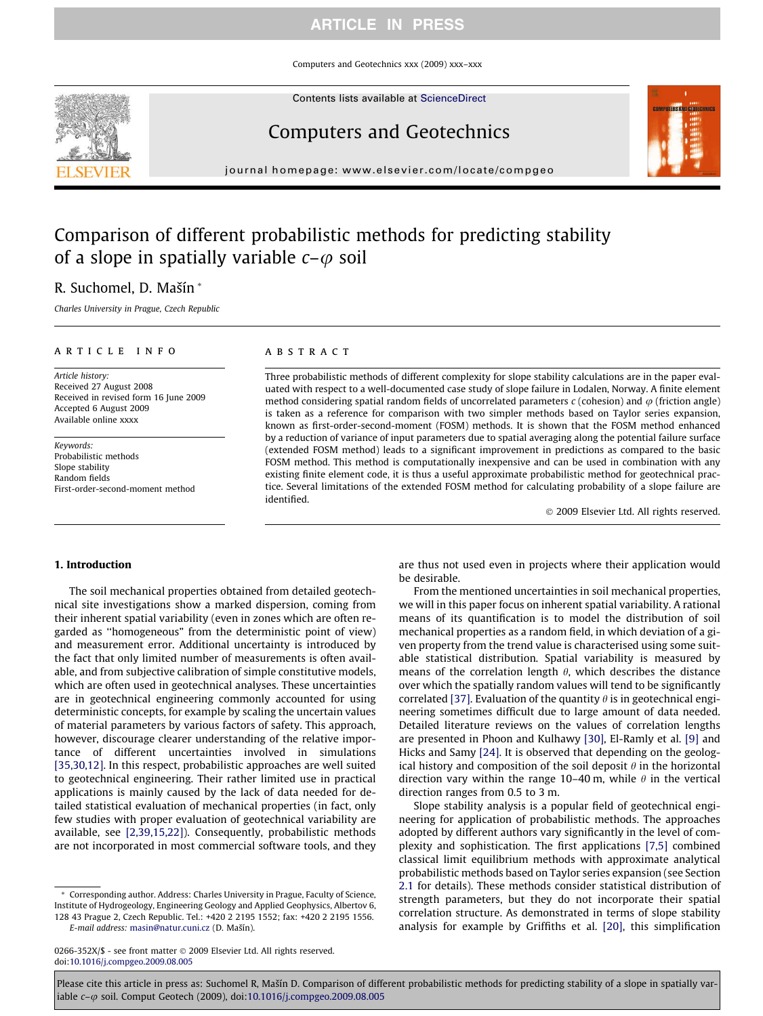# ARTICLE IN PRESS

Computers and Geotechnics xxx (2009) xxx–xxx

Contents lists available at [ScienceDirect](http://www.sciencedirect.com/science/journal/0266352X)

# Computers and Geotechnics

journal homepage: [www.elsevier.com/locate/compgeo](http://www.elsevier.com/locate/compgeo)



# <span id="page-0-0"></span>Comparison of different probabilistic methods for predicting stability of a slope in spatially variable  $c-\varphi$  soil

## R. Suchomel, D. Mašín \*

Charles University in Prague, Czech Republic

### article info

Article history: Received 27 August 2008 Received in revised form 16 June 2009 Accepted 6 August 2009 Available online xxxx

Keywords: Probabilistic methods Slope stability Random fields First-order-second-moment method

## ABSTRACT

Three probabilistic methods of different complexity for slope stability calculations are in the paper evaluated with respect to a well-documented case study of slope failure in Lodalen, Norway. A finite element method considering spatial random fields of uncorrelated parameters  $c$  (cohesion) and  $\varphi$  (friction angle) is taken as a reference for comparison with two simpler methods based on Taylor series expansion, known as first-order-second-moment (FOSM) methods. It is shown that the FOSM method enhanced by a reduction of variance of input parameters due to spatial averaging along the potential failure surface (extended FOSM method) leads to a significant improvement in predictions as compared to the basic FOSM method. This method is computationally inexpensive and can be used in combination with any existing finite element code, it is thus a useful approximate probabilistic method for geotechnical practice. Several limitations of the extended FOSM method for calculating probability of a slope failure are identified.

- 2009 Elsevier Ltd. All rights reserved.

### 1. Introduction

The soil mechanical properties obtained from detailed geotechnical site investigations show a marked dispersion, coming from their inherent spatial variability (even in zones which are often regarded as ''homogeneous" from the deterministic point of view) and measurement error. Additional uncertainty is introduced by the fact that only limited number of measurements is often available, and from subjective calibration of simple constitutive models, which are often used in geotechnical analyses. These uncertainties are in geotechnical engineering commonly accounted for using deterministic concepts, for example by scaling the uncertain values of material parameters by various factors of safety. This approach, however, discourage clearer understanding of the relative importance of different uncertainties involved in simulations [\[35,30,12\].](#page-8-0) In this respect, probabilistic approaches are well suited to geotechnical engineering. Their rather limited use in practical applications is mainly caused by the lack of data needed for detailed statistical evaluation of mechanical properties (in fact, only few studies with proper evaluation of geotechnical variability are available, see [\[2,39,15,22\]](#page-7-0)). Consequently, probabilistic methods are not incorporated in most commercial software tools, and they

\* Corresponding author. Address: Charles University in Prague, Faculty of Science, Institute of Hydrogeology, Engineering Geology and Applied Geophysics, Albertov 6, 128 43 Prague 2, Czech Republic. Tel.: +420 2 2195 1552; fax: +420 2 2195 1556.

E-mail address: [masin@natur.cuni.cz](mailto:masin@natur.cuni.cz) (D. Mašín).

are thus not used even in projects where their application would be desirable.

From the mentioned uncertainties in soil mechanical properties, we will in this paper focus on inherent spatial variability. A rational means of its quantification is to model the distribution of soil mechanical properties as a random field, in which deviation of a given property from the trend value is characterised using some suitable statistical distribution. Spatial variability is measured by means of the correlation length  $\theta$ , which describes the distance over which the spatially random values will tend to be significantly correlated [\[37\]](#page-8-0). Evaluation of the quantity  $\theta$  is in geotechnical engineering sometimes difficult due to large amount of data needed. Detailed literature reviews on the values of correlation lengths are presented in Phoon and Kulhawy [\[30\],](#page-8-0) El-Ramly et al. [\[9\]](#page-7-0) and Hicks and Samy [\[24\].](#page-7-0) It is observed that depending on the geological history and composition of the soil deposit  $\theta$  in the horizontal direction vary within the range 10–40 m, while  $\theta$  in the vertical direction ranges from 0.5 to 3 m.

Slope stability analysis is a popular field of geotechnical engineering for application of probabilistic methods. The approaches adopted by different authors vary significantly in the level of complexity and sophistication. The first applications [\[7,5\]](#page-7-0) combined classical limit equilibrium methods with approximate analytical probabilistic methods based on Taylor series expansion (see Section [2.1](#page-1-0) for details). These methods consider statistical distribution of strength parameters, but they do not incorporate their spatial correlation structure. As demonstrated in terms of slope stability analysis for example by Griffiths et al. [\[20\]](#page-7-0), this simplification

<sup>0266-352</sup>X/\$ - see front matter © 2009 Elsevier Ltd. All rights reserved. doi[:10.1016/j.compgeo.2009.08.005](http://dx.doi.org/10.1016/j.compgeo.2009.08.005)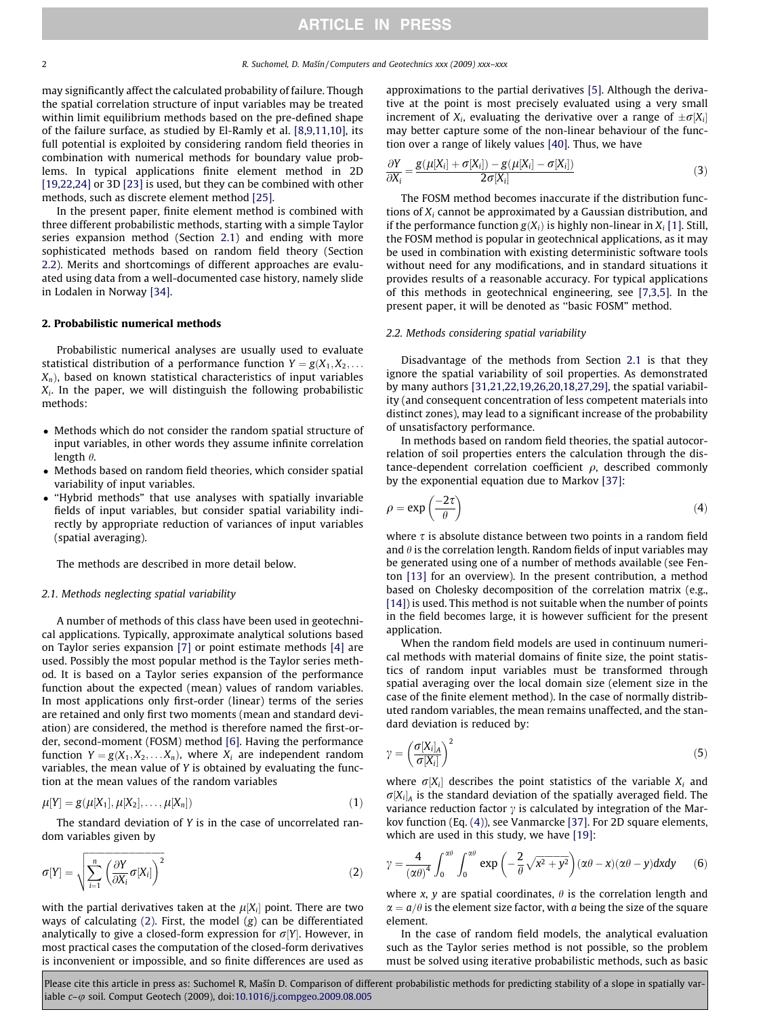<span id="page-1-0"></span>may significantly affect the calculated probability of failure. Though the spatial correlation structure of input variables may be treated within limit equilibrium methods based on the pre-defined shape of the failure surface, as studied by El-Ramly et al. [\[8,9,11,10\],](#page-7-0) its full potential is exploited by considering random field theories in combination with numerical methods for boundary value problems. In typical applications finite element method in 2D [\[19,22,24\]](#page-7-0) or 3D [\[23\]](#page-7-0) is used, but they can be combined with other methods, such as discrete element method [\[25\].](#page-7-0)

In the present paper, finite element method is combined with three different probabilistic methods, starting with a simple Taylor series expansion method (Section 2.1) and ending with more sophisticated methods based on random field theory (Section 2.2). Merits and shortcomings of different approaches are evaluated using data from a well-documented case history, namely slide in Lodalen in Norway [\[34\].](#page-8-0)

#### 2. Probabilistic numerical methods

Probabilistic numerical analyses are usually used to evaluate statistical distribution of a performance function  $Y = g(X_1, X_2, \ldots)$  $X_n$ ), based on known statistical characteristics of input variables  $X_i$ . In the paper, we will distinguish the following probabilistic methods:

- Methods which do not consider the random spatial structure of input variables, in other words they assume infinite correlation length  $\theta$ .
- Methods based on random field theories, which consider spatial variability of input variables.
- ''Hybrid methods" that use analyses with spatially invariable fields of input variables, but consider spatial variability indirectly by appropriate reduction of variances of input variables (spatial averaging).

The methods are described in more detail below.

### 2.1. Methods neglecting spatial variability

A number of methods of this class have been used in geotechnical applications. Typically, approximate analytical solutions based on Taylor series expansion [\[7\]](#page-7-0) or point estimate methods [\[4\]](#page-7-0) are used. Possibly the most popular method is the Taylor series method. It is based on a Taylor series expansion of the performance function about the expected (mean) values of random variables. In most applications only first-order (linear) terms of the series are retained and only first two moments (mean and standard deviation) are considered, the method is therefore named the first-order, second-moment (FOSM) method [\[6\]](#page-7-0). Having the performance function  $Y = g(X_1, X_2, \ldots, X_n)$ , where  $X_i$  are independent random variables, the mean value of Y is obtained by evaluating the function at the mean values of the random variables

$$
\mu[Y] = g(\mu[X_1], \mu[X_2], \dots, \mu[X_n]) \tag{1}
$$

The standard deviation of Y is in the case of uncorrelated random variables given by

$$
\sigma[Y] = \sqrt{\sum_{i=1}^{n} \left(\frac{\partial Y}{\partial X_i} \sigma[X_i]\right)^2}
$$
\n(2)

with the partial derivatives taken at the  $\mu[X_i]$  point. There are two ways of calculating  $(2)$ . First, the model  $(g)$  can be differentiated analytically to give a closed-form expression for  $\sigma[Y]$ . However, in most practical cases the computation of the closed-form derivatives is inconvenient or impossible, and so finite differences are used as

approximations to the partial derivatives [\[5\].](#page-7-0) Although the derivative at the point is most precisely evaluated using a very small increment of  $X_i$ , evaluating the derivative over a range of  $\pm \sigma[X_i]$ may better capture some of the non-linear behaviour of the function over a range of likely values [\[40\]](#page-8-0). Thus, we have

$$
\frac{\partial Y}{\partial X_i} = \frac{g(\mu[X_i] + \sigma[X_i]) - g(\mu[X_i] - \sigma[X_i])}{2\sigma[X_i]}
$$
\n(3)

The FOSM method becomes inaccurate if the distribution functions of  $X_i$  cannot be approximated by a Gaussian distribution, and if the performance function  $g(X_i)$  is highly non-linear in  $X_i$  [\[1\]](#page-7-0). Still, the FOSM method is popular in geotechnical applications, as it may be used in combination with existing deterministic software tools without need for any modifications, and in standard situations it provides results of a reasonable accuracy. For typical applications of this methods in geotechnical engineering, see [\[7,3,5\].](#page-7-0) In the present paper, it will be denoted as ''basic FOSM" method.

### 2.2. Methods considering spatial variability

Disadvantage of the methods from Section 2.1 is that they ignore the spatial variability of soil properties. As demonstrated by many authors [\[31,21,22,19,26,20,18,27,29\],](#page-8-0) the spatial variability (and consequent concentration of less competent materials into distinct zones), may lead to a significant increase of the probability of unsatisfactory performance.

In methods based on random field theories, the spatial autocorrelation of soil properties enters the calculation through the distance-dependent correlation coefficient  $\rho$ , described commonly by the exponential equation due to Markov [\[37\]:](#page-8-0)

$$
\rho = \exp\left(\frac{-2\tau}{\theta}\right) \tag{4}
$$

where  $\tau$  is absolute distance between two points in a random field and  $\theta$  is the correlation length. Random fields of input variables may be generated using one of a number of methods available (see Fenton [\[13\]](#page-7-0) for an overview). In the present contribution, a method based on Cholesky decomposition of the correlation matrix (e.g., [\[14\]\)](#page-7-0) is used. This method is not suitable when the number of points in the field becomes large, it is however sufficient for the present application.

When the random field models are used in continuum numerical methods with material domains of finite size, the point statistics of random input variables must be transformed through spatial averaging over the local domain size (element size in the case of the finite element method). In the case of normally distributed random variables, the mean remains unaffected, and the standard deviation is reduced by:

$$
\gamma = \left(\frac{\sigma[X_i]_A}{\sigma[X_i]}\right)^2\tag{5}
$$

where  $\sigma[X_i]$  describes the point statistics of the variable  $X_i$  and  $\sigma[X_i]_A$  is the standard deviation of the spatially averaged field. The variance reduction factor  $\gamma$  is calculated by integration of the Markov function (Eq. (4)), see Vanmarcke [\[37\].](#page-8-0) For 2D square elements, which are used in this study, we have [\[19\]:](#page-7-0)

$$
\gamma = \frac{4}{(\alpha \theta)^4} \int_0^{\alpha \theta} \int_0^{\alpha \theta} \exp\left(-\frac{2}{\theta} \sqrt{x^2 + y^2}\right) (\alpha \theta - x) (\alpha \theta - y) dxdy \tag{6}
$$

where x, y are spatial coordinates,  $\theta$  is the correlation length and  $\alpha = a/\theta$  is the element size factor, with a being the size of the square element.

In the case of random field models, the analytical evaluation such as the Taylor series method is not possible, so the problem must be solved using iterative probabilistic methods, such as basic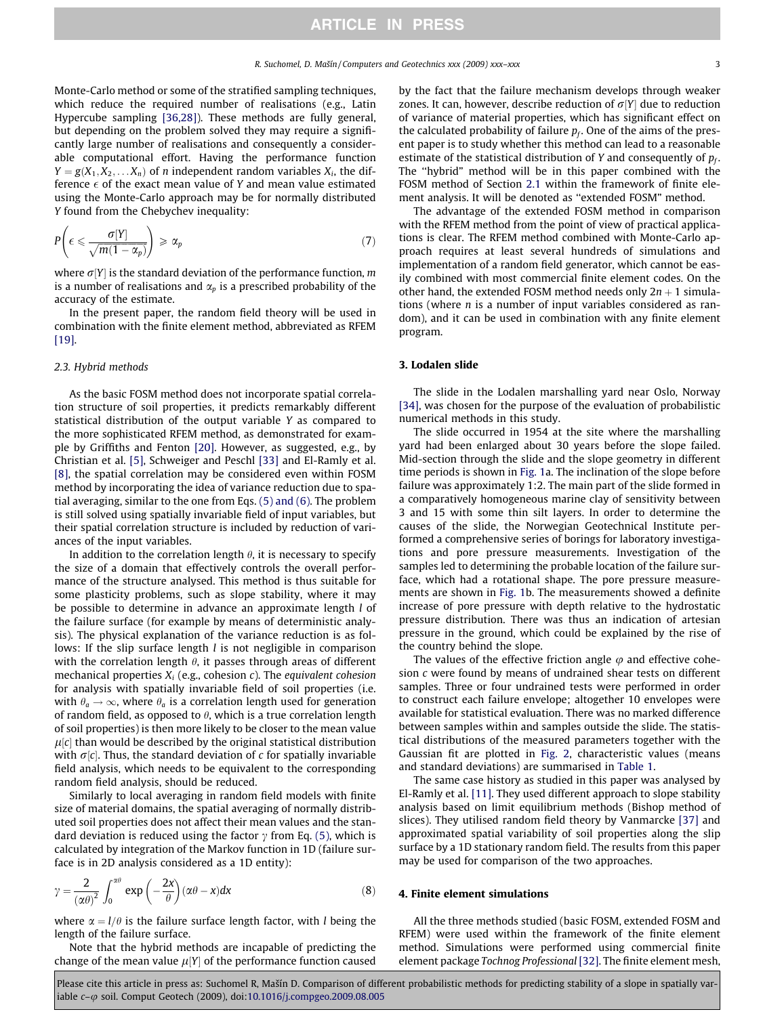<span id="page-2-0"></span>Monte-Carlo method or some of the stratified sampling techniques, which reduce the required number of realisations (e.g., Latin Hypercube sampling [\[36,28\]\)](#page-8-0). These methods are fully general, but depending on the problem solved they may require a significantly large number of realisations and consequently a considerable computational effort. Having the performance function  $Y = g(X_1, X_2, \ldots, X_n)$  of *n* independent random variables  $X_i$ , the difference  $\epsilon$  of the exact mean value of Y and mean value estimated using the Monte-Carlo approach may be for normally distributed Y found from the Chebychev inequality:

$$
P\left(\epsilon \leqslant \frac{\sigma[Y]}{\sqrt{m(1-\alpha_p)}}\right) \geqslant \alpha_p \tag{7}
$$

where  $\sigma[Y]$  is the standard deviation of the performance function, m is a number of realisations and  $\alpha_p$  is a prescribed probability of the accuracy of the estimate.

In the present paper, the random field theory will be used in combination with the finite element method, abbreviated as RFEM [\[19\].](#page-7-0)

### 2.3. Hybrid methods

As the basic FOSM method does not incorporate spatial correlation structure of soil properties, it predicts remarkably different statistical distribution of the output variable Y as compared to the more sophisticated RFEM method, as demonstrated for example by Griffiths and Fenton [\[20\]](#page-7-0). However, as suggested, e.g., by Christian et al. [\[5\]](#page-7-0), Schweiger and Peschl [\[33\]](#page-8-0) and El-Ramly et al. [\[8\]](#page-7-0), the spatial correlation may be considered even within FOSM method by incorporating the idea of variance reduction due to spatial averaging, similar to the one from Eqs. [\(5\) and \(6\)](#page-1-0). The problem is still solved using spatially invariable field of input variables, but their spatial correlation structure is included by reduction of variances of the input variables.

In addition to the correlation length  $\theta$ , it is necessary to specify the size of a domain that effectively controls the overall performance of the structure analysed. This method is thus suitable for some plasticity problems, such as slope stability, where it may be possible to determine in advance an approximate length l of the failure surface (for example by means of deterministic analysis). The physical explanation of the variance reduction is as follows: If the slip surface length  $l$  is not negligible in comparison with the correlation length  $\theta$ , it passes through areas of different mechanical properties  $X_i$  (e.g., cohesion c). The *equivalent cohesion* for analysis with spatially invariable field of soil properties (i.e. with  $\theta_a \rightarrow \infty$ , where  $\theta_a$  is a correlation length used for generation of random field, as opposed to  $\theta$ , which is a true correlation length of soil properties) is then more likely to be closer to the mean value  $\mu$ [c] than would be described by the original statistical distribution with  $\sigma[c]$ . Thus, the standard deviation of c for spatially invariable field analysis, which needs to be equivalent to the corresponding random field analysis, should be reduced.

Similarly to local averaging in random field models with finite size of material domains, the spatial averaging of normally distributed soil properties does not affect their mean values and the standard deviation is reduced using the factor  $\gamma$  from Eq. [\(5\)](#page-1-0), which is calculated by integration of the Markov function in 1D (failure surface is in 2D analysis considered as a 1D entity):

$$
\gamma = \frac{2}{(\alpha \theta)^2} \int_0^{\alpha \theta} \exp\left(-\frac{2x}{\theta}\right) (\alpha \theta - x) dx \tag{8}
$$

where  $\alpha = l/\theta$  is the failure surface length factor, with *l* being the length of the failure surface.

Note that the hybrid methods are incapable of predicting the change of the mean value  $\mu[Y]$  of the performance function caused by the fact that the failure mechanism develops through weaker zones. It can, however, describe reduction of  $\sigma[Y]$  due to reduction of variance of material properties, which has significant effect on the calculated probability of failure  $p_f$ . One of the aims of the present paper is to study whether this method can lead to a reasonable estimate of the statistical distribution of Y and consequently of  $p_f$ . The ''hybrid" method will be in this paper combined with the FOSM method of Section [2.1](#page-1-0) within the framework of finite element analysis. It will be denoted as ''extended FOSM" method.

The advantage of the extended FOSM method in comparison with the RFEM method from the point of view of practical applications is clear. The RFEM method combined with Monte-Carlo approach requires at least several hundreds of simulations and implementation of a random field generator, which cannot be easily combined with most commercial finite element codes. On the other hand, the extended FOSM method needs only  $2n + 1$  simulations (where  $n$  is a number of input variables considered as random), and it can be used in combination with any finite element program.

## 3. Lodalen slide

The slide in the Lodalen marshalling yard near Oslo, Norway [\[34\]](#page-8-0), was chosen for the purpose of the evaluation of probabilistic numerical methods in this study.

The slide occurred in 1954 at the site where the marshalling yard had been enlarged about 30 years before the slope failed. Mid-section through the slide and the slope geometry in different time periods is shown in [Fig. 1](#page-3-0)a. The inclination of the slope before failure was approximately 1:2. The main part of the slide formed in a comparatively homogeneous marine clay of sensitivity between 3 and 15 with some thin silt layers. In order to determine the causes of the slide, the Norwegian Geotechnical Institute performed a comprehensive series of borings for laboratory investigations and pore pressure measurements. Investigation of the samples led to determining the probable location of the failure surface, which had a rotational shape. The pore pressure measurements are shown in [Fig. 1b](#page-3-0). The measurements showed a definite increase of pore pressure with depth relative to the hydrostatic pressure distribution. There was thus an indication of artesian pressure in the ground, which could be explained by the rise of the country behind the slope.

The values of the effective friction angle  $\varphi$  and effective cohesion c were found by means of undrained shear tests on different samples. Three or four undrained tests were performed in order to construct each failure envelope; altogether 10 envelopes were available for statistical evaluation. There was no marked difference between samples within and samples outside the slide. The statistical distributions of the measured parameters together with the Gaussian fit are plotted in [Fig. 2,](#page-3-0) characteristic values (means and standard deviations) are summarised in [Table 1](#page-3-0).

The same case history as studied in this paper was analysed by El-Ramly et al. [\[11\].](#page-7-0) They used different approach to slope stability analysis based on limit equilibrium methods (Bishop method of slices). They utilised random field theory by Vanmarcke [\[37\]](#page-8-0) and approximated spatial variability of soil properties along the slip surface by a 1D stationary random field. The results from this paper may be used for comparison of the two approaches.

### 4. Finite element simulations

All the three methods studied (basic FOSM, extended FOSM and RFEM) were used within the framework of the finite element method. Simulations were performed using commercial finite element package Tochnog Professional [\[32\].](#page-8-0) The finite element mesh,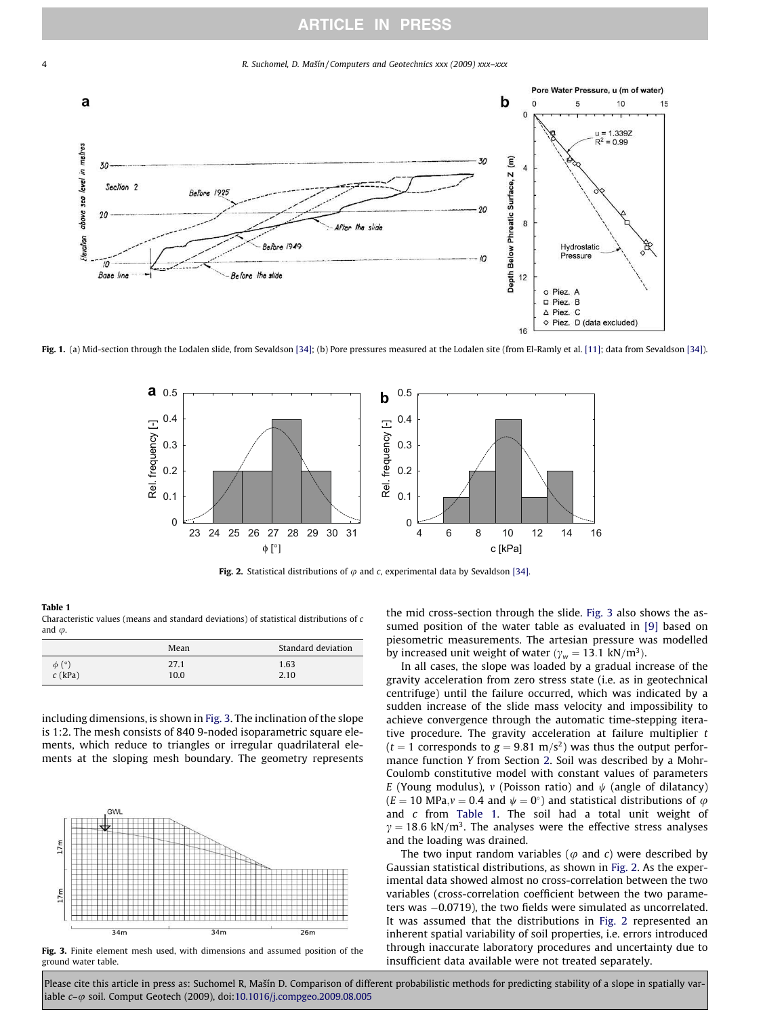# ARTICLE IN PRESS

<span id="page-3-0"></span>4 R. Suchomel, D. Mašín / Computers and Geotechnics xxx (2009) xxx–xxx



Fig. 1. (a) Mid-section through the Lodalen slide, from Sevaldson [\[34\]](#page-8-0); (b) Pore pressures measured at the Lodalen site (from El-Ramly et al. [\[11\]](#page-7-0); data from Sevaldson [\[34\]\)](#page-8-0).



Fig. 2. Statistical distributions of  $\varphi$  and c, experimental data by Sevaldson [\[34\].](#page-8-0)

Table 1

Characteristic values (means and standard deviations) of statistical distributions of c and  $\varphi$ .

|            | Mean | Standard deviation |
|------------|------|--------------------|
| $\phi$ (°) | 27.1 | 1.63               |
| $c$ (kPa)  | 10.0 | 2.10               |

including dimensions, is shown in Fig. 3. The inclination of the slope is 1:2. The mesh consists of 840 9-noded isoparametric square elements, which reduce to triangles or irregular quadrilateral elements at the sloping mesh boundary. The geometry represents



Fig. 3. Finite element mesh used, with dimensions and assumed position of the ground water table.

the mid cross-section through the slide. Fig. 3 also shows the assumed position of the water table as evaluated in [\[9\]](#page-7-0) based on piesometric measurements. The artesian pressure was modelled by increased unit weight of water ( $\gamma_w = 13.1 \text{ kN/m}^3$ ).

In all cases, the slope was loaded by a gradual increase of the gravity acceleration from zero stress state (i.e. as in geotechnical centrifuge) until the failure occurred, which was indicated by a sudden increase of the slide mass velocity and impossibility to achieve convergence through the automatic time-stepping iterative procedure. The gravity acceleration at failure multiplier  $t$  $(t = 1$  corresponds to  $g = 9.81$  m/s<sup>2</sup>) was thus the output performance function Y from Section [2](#page-1-0). Soil was described by a Mohr-Coulomb constitutive model with constant values of parameters E (Young modulus), v (Poisson ratio) and  $\psi$  (angle of dilatancy)  $(E = 10 \text{ MPa}, v = 0.4 \text{ and } \psi = 0^{\circ})$  and statistical distributions of  $\varphi$ and c from Table 1. The soil had a total unit weight of  $\gamma = 18.6$  kN/m<sup>3</sup>. The analyses were the effective stress analyses and the loading was drained.

The two input random variables ( $\varphi$  and c) were described by Gaussian statistical distributions, as shown in Fig. 2. As the experimental data showed almost no cross-correlation between the two variables (cross-correlation coefficient between the two parameters was  $-0.0719$ ), the two fields were simulated as uncorrelated. It was assumed that the distributions in Fig. 2 represented an inherent spatial variability of soil properties, i.e. errors introduced through inaccurate laboratory procedures and uncertainty due to insufficient data available were not treated separately.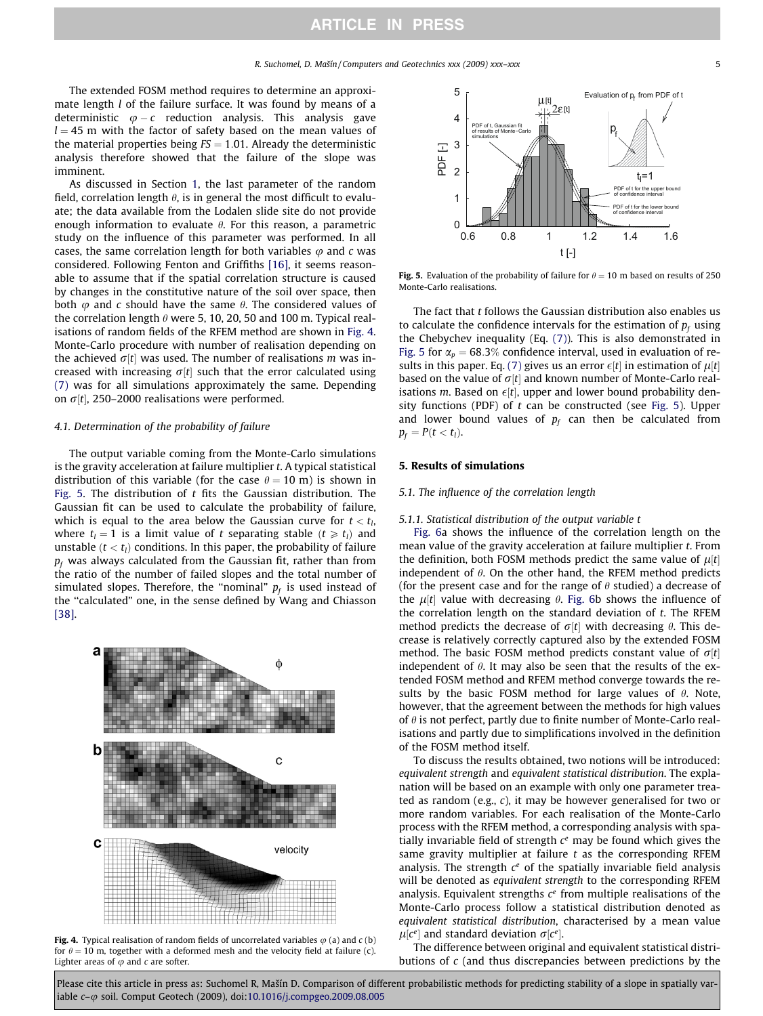<span id="page-4-0"></span>The extended FOSM method requires to determine an approximate length l of the failure surface. It was found by means of a deterministic  $\varphi - c$  reduction analysis. This analysis gave  $l = 45$  m with the factor of safety based on the mean values of the material properties being  $FS = 1.01$ . Already the deterministic analysis therefore showed that the failure of the slope was imminent.

As discussed in Section [1,](#page-0-0) the last parameter of the random field, correlation length  $\theta$ , is in general the most difficult to evaluate; the data available from the Lodalen slide site do not provide enough information to evaluate  $\theta$ . For this reason, a parametric study on the influence of this parameter was performed. In all cases, the same correlation length for both variables  $\varphi$  and c was considered. Following Fenton and Griffiths [\[16\],](#page-7-0) it seems reasonable to assume that if the spatial correlation structure is caused by changes in the constitutive nature of the soil over space, then both  $\varphi$  and c should have the same  $\theta$ . The considered values of the correlation length  $\theta$  were 5, 10, 20, 50 and 100 m. Typical realisations of random fields of the RFEM method are shown in Fig. 4. Monte-Carlo procedure with number of realisation depending on the achieved  $\sigma[t]$  was used. The number of realisations m was increased with increasing  $\sigma$ [t] such that the error calculated using [\(7\)](#page-2-0) was for all simulations approximately the same. Depending on  $\sigma$ [t], 250–2000 realisations were performed.

### 4.1. Determination of the probability of failure

The output variable coming from the Monte-Carlo simulations is the gravity acceleration at failure multiplier t. A typical statistical distribution of this variable (for the case  $\theta = 10$  m) is shown in Fig. 5. The distribution of  $t$  fits the Gaussian distribution. The Gaussian fit can be used to calculate the probability of failure, which is equal to the area below the Gaussian curve for  $t < t<sub>l</sub>$ , where  $t<sub>l</sub> = 1$  is a limit value of t separating stable  $(t \geq t<sub>l</sub>)$  and unstable  $(t < t<sub>l</sub>)$  conditions. In this paper, the probability of failure  $p_f$  was always calculated from the Gaussian fit, rather than from the ratio of the number of failed slopes and the total number of simulated slopes. Therefore, the "nominal"  $p_f$  is used instead of the ''calculated" one, in the sense defined by Wang and Chiasson [\[38\].](#page-8-0)



Fig. 4. Typical realisation of random fields of uncorrelated variables  $\varphi$  (a) and  $c$  (b) for  $\theta = 10$  m, together with a deformed mesh and the velocity field at failure (c). Lighter areas of  $\varphi$  and c are softer.



Fig. 5. Evaluation of the probability of failure for  $\theta = 10$  m based on results of 250 Monte-Carlo realisations.

The fact that  $t$  follows the Gaussian distribution also enables us to calculate the confidence intervals for the estimation of  $p_f$  using the Chebychev inequality (Eq. [\(7\)\)](#page-2-0). This is also demonstrated in Fig. 5 for  $\alpha_p = 68.3\%$  confidence interval, used in evaluation of re-sults in this paper. Eq. [\(7\)](#page-2-0) gives us an error  $\epsilon[t]$  in estimation of  $\mu[t]$ based on the value of  $\sigma[t]$  and known number of Monte-Carlo realisations m. Based on  $\epsilon[t]$ , upper and lower bound probability density functions (PDF) of t can be constructed (see Fig. 5). Upper and lower bound values of  $p_f$  can then be calculated from  $p_f = P(t < t_l).$ 

### 5. Results of simulations

### 5.1. The influence of the correlation length

## 5.1.1. Statistical distribution of the output variable t

[Fig. 6a](#page-5-0) shows the influence of the correlation length on the mean value of the gravity acceleration at failure multiplier t. From the definition, both FOSM methods predict the same value of  $\mu[t]$ independent of  $\theta$ . On the other hand, the RFEM method predicts (for the present case and for the range of  $\theta$  studied) a decrease of the  $\mu[t]$  value with decreasing  $\theta$ . [Fig. 6b](#page-5-0) shows the influence of the correlation length on the standard deviation of  $t$ . The RFEM method predicts the decrease of  $\sigma[t]$  with decreasing  $\theta$ . This decrease is relatively correctly captured also by the extended FOSM method. The basic FOSM method predicts constant value of  $\sigma[t]$ independent of  $\theta$ . It may also be seen that the results of the extended FOSM method and RFEM method converge towards the results by the basic FOSM method for large values of  $\theta$ . Note, however, that the agreement between the methods for high values of  $\theta$  is not perfect, partly due to finite number of Monte-Carlo realisations and partly due to simplifications involved in the definition of the FOSM method itself.

To discuss the results obtained, two notions will be introduced: equivalent strength and equivalent statistical distribution. The explanation will be based on an example with only one parameter treated as random (e.g., c), it may be however generalised for two or more random variables. For each realisation of the Monte-Carlo process with the RFEM method, a corresponding analysis with spatially invariable field of strength  $c<sup>e</sup>$  may be found which gives the same gravity multiplier at failure  $t$  as the corresponding RFEM analysis. The strength  $c<sup>e</sup>$  of the spatially invariable field analysis will be denoted as equivalent strength to the corresponding RFEM analysis. Equivalent strengths  $c<sup>e</sup>$  from multiple realisations of the Monte-Carlo process follow a statistical distribution denoted as equivalent statistical distribution, characterised by a mean value  $\mu[c^e]$  and standard deviation  $\sigma[c^e]$ .

The difference between original and equivalent statistical distributions of c (and thus discrepancies between predictions by the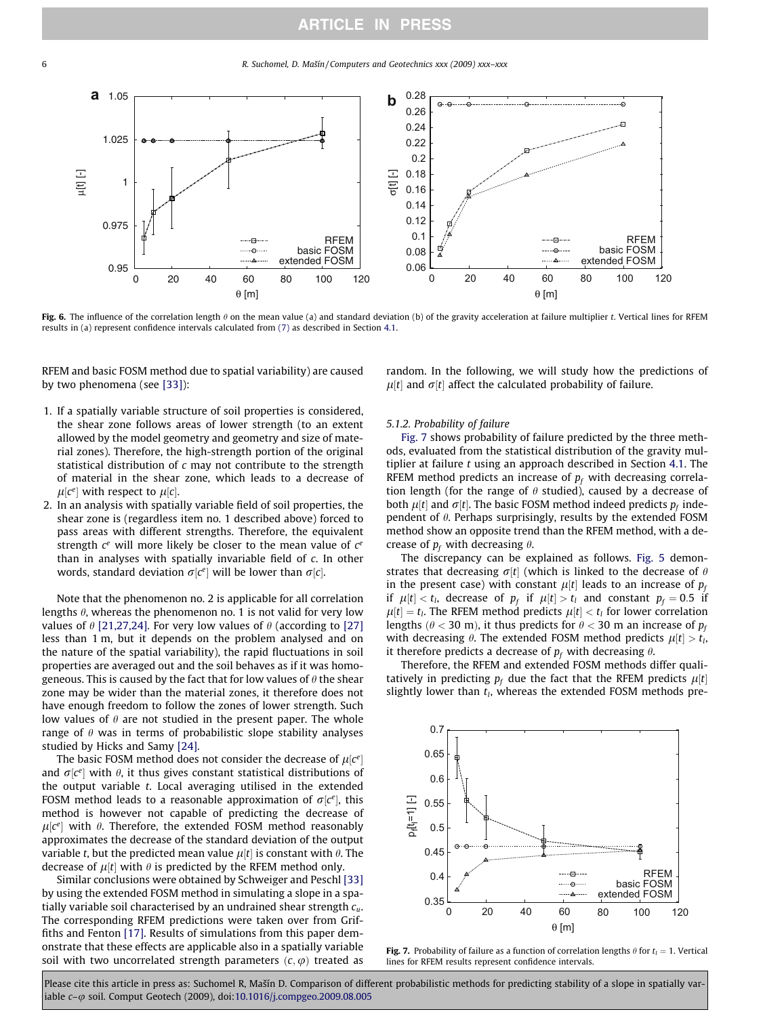<span id="page-5-0"></span>

Fig. 6. The influence of the correlation length  $\theta$  on the mean value (a) and standard deviation (b) of the gravity acceleration at failure multiplier t. Vertical lines for RFEM results in (a) represent confidence intervals calculated from [\(7\)](#page-2-0) as described in Section [4.1](#page-4-0).

RFEM and basic FOSM method due to spatial variability) are caused by two phenomena (see [\[33\]\)](#page-8-0):

- 1. If a spatially variable structure of soil properties is considered, the shear zone follows areas of lower strength (to an extent allowed by the model geometry and geometry and size of material zones). Therefore, the high-strength portion of the original statistical distribution of c may not contribute to the strength of material in the shear zone, which leads to a decrease of  $\mu[c^e]$  with respect to  $\mu[c]$ .
- 2. In an analysis with spatially variable field of soil properties, the shear zone is (regardless item no. 1 described above) forced to pass areas with different strengths. Therefore, the equivalent strength  $c<sup>e</sup>$  will more likely be closer to the mean value of  $c<sup>e</sup>$ than in analyses with spatially invariable field of c. In other words, standard deviation  $\sigma[c^e]$  will be lower than  $\sigma[c]$ .

Note that the phenomenon no. 2 is applicable for all correlation lengths  $\theta$ , whereas the phenomenon no. 1 is not valid for very low values of  $\theta$  [\[21,27,24\]](#page-7-0). For very low values of  $\theta$  (according to [\[27\]](#page-8-0) less than 1 m, but it depends on the problem analysed and on the nature of the spatial variability), the rapid fluctuations in soil properties are averaged out and the soil behaves as if it was homogeneous. This is caused by the fact that for low values of  $\theta$  the shear zone may be wider than the material zones, it therefore does not have enough freedom to follow the zones of lower strength. Such low values of  $\theta$  are not studied in the present paper. The whole range of  $\theta$  was in terms of probabilistic slope stability analyses studied by Hicks and Samy [\[24\]](#page-7-0).

The basic FOSM method does not consider the decrease of  $\mu$ [ $c^e$ ] and  $\sigma[c^e]$  with  $\theta$ , it thus gives constant statistical distributions of the output variable t. Local averaging utilised in the extended FOSM method leads to a reasonable approximation of  $\sigma[c^e]$ , this method is however not capable of predicting the decrease of  $\mu[c^e]$  with  $\theta$ . Therefore, the extended FOSM method reasonably approximates the decrease of the standard deviation of the output variable t, but the predicted mean value  $\mu[t]$  is constant with  $\theta$ . The decrease of  $\mu[t]$  with  $\theta$  is predicted by the RFEM method only.

Similar conclusions were obtained by Schweiger and Peschl [\[33\]](#page-8-0) by using the extended FOSM method in simulating a slope in a spatially variable soil characterised by an undrained shear strength  $c<sub>u</sub>$ . The corresponding RFEM predictions were taken over from Griffiths and Fenton [\[17\]](#page-7-0). Results of simulations from this paper demonstrate that these effects are applicable also in a spatially variable soil with two uncorrelated strength parameters  $(c, \varphi)$  treated as

random. In the following, we will study how the predictions of  $\mu[t]$  and  $\sigma[t]$  affect the calculated probability of failure.

### 5.1.2. Probability of failure

Fig. 7 shows probability of failure predicted by the three methods, evaluated from the statistical distribution of the gravity multiplier at failure t using an approach described in Section [4.1](#page-4-0). The RFEM method predicts an increase of  $p_f$  with decreasing correlation length (for the range of  $\theta$  studied), caused by a decrease of both  $\mu[t]$  and  $\sigma[t]$ . The basic FOSM method indeed predicts  $p_f$  independent of  $\theta$ . Perhaps surprisingly, results by the extended FOSM method show an opposite trend than the RFEM method, with a decrease of  $p_f$  with decreasing  $\theta$ .

The discrepancy can be explained as follows. [Fig. 5](#page-4-0) demonstrates that decreasing  $\sigma[t]$  (which is linked to the decrease of  $\theta$ in the present case) with constant  $\mu[t]$  leads to an increase of  $p_f$ if  $\mu[t] < t_l$ , decrease of  $p_f$  if  $\mu[t] > t_l$  and constant  $p_f = 0.5$  if  $\mu[t] = t_l$ . The RFEM method predicts  $\mu[t] < t_l$  for lower correlation lengths ( $\theta$  < 30 m), it thus predicts for  $\theta$  < 30 m an increase of  $p_f$ with decreasing  $\theta$ . The extended FOSM method predicts  $\mu[t] > t_i$ , it therefore predicts a decrease of  $p_f$  with decreasing  $\theta$ .

Therefore, the RFEM and extended FOSM methods differ qualitatively in predicting  $p_f$  due the fact that the RFEM predicts  $\mu[t]$ slightly lower than  $t_l$ , whereas the extended FOSM methods pre-



Fig. 7. Probability of failure as a function of correlation lengths  $\theta$  for  $t_l = 1$ . Vertical lines for RFEM results represent confidence intervals.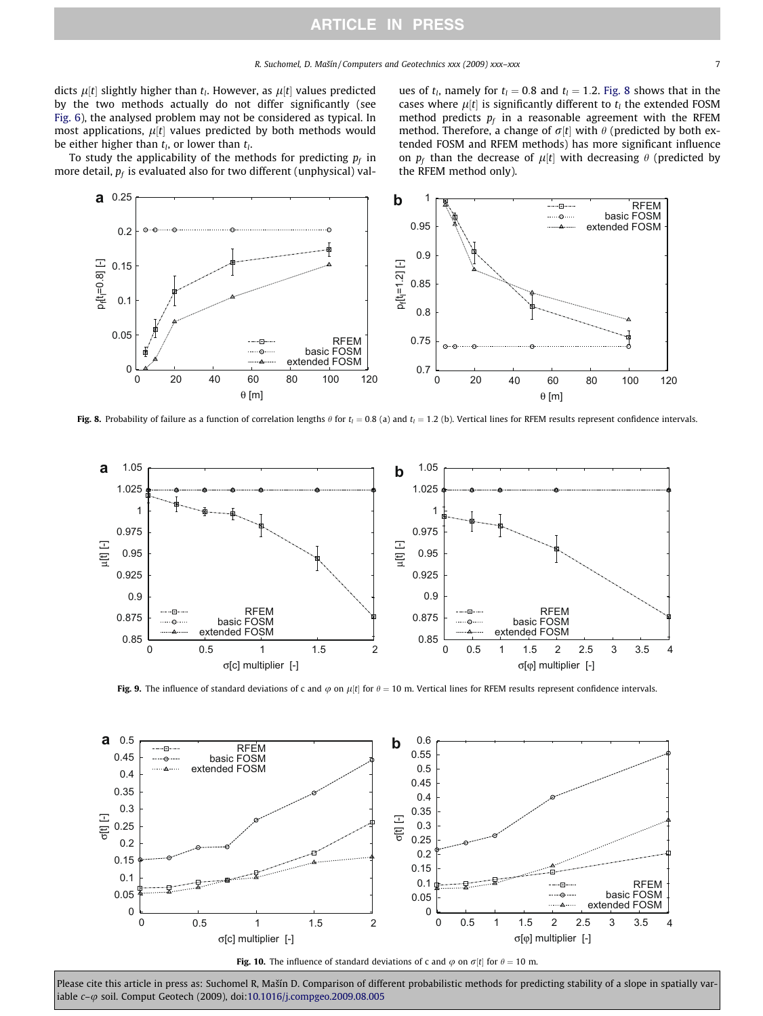<span id="page-6-0"></span>dicts  $\mu[t]$  slightly higher than  $t_l$ . However, as  $\mu[t]$  values predicted by the two methods actually do not differ significantly (see [Fig. 6\)](#page-5-0), the analysed problem may not be considered as typical. In most applications,  $\mu[t]$  values predicted by both methods would be either higher than  $t_l$ , or lower than  $t_l$ .

To study the applicability of the methods for predicting  $p_f$  in more detail,  $p_f$  is evaluated also for two different (unphysical) values of  $t_l$ , namely for  $t_l = 0.8$  and  $t_l = 1.2$ . Fig. 8 shows that in the cases where  $\mu[t]$  is significantly different to  $t_l$  the extended FOSM method predicts  $p_f$  in a reasonable agreement with the RFEM method. Therefore, a change of  $\sigma[t]$  with  $\theta$  (predicted by both extended FOSM and RFEM methods) has more significant influence on  $p_f$  than the decrease of  $\mu[t]$  with decreasing  $\theta$  (predicted by the RFEM method only).



Fig. 8. Probability of failure as a function of correlation lengths  $\theta$  for  $t_l = 0.8$  (a) and  $t_l = 1.2$  (b). Vertical lines for RFEM results represent confidence intervals.



Fig. 9. The influence of standard deviations of c and  $\varphi$  on  $\mu[t]$  for  $\theta = 10$  m. Vertical lines for RFEM results represent confidence intervals.



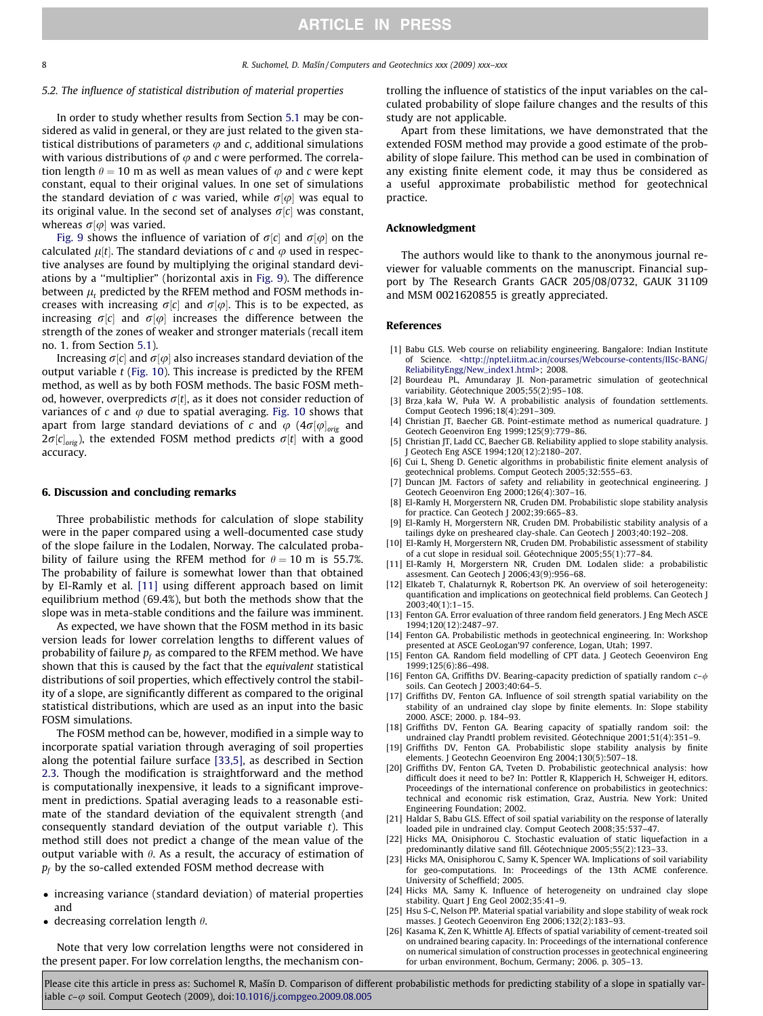<span id="page-7-0"></span>

#### 5.2. The influence of statistical distribution of material properties

In order to study whether results from Section [5.1](#page-4-0) may be considered as valid in general, or they are just related to the given statistical distributions of parameters  $\varphi$  and c, additional simulations with various distributions of  $\varphi$  and c were performed. The correlation length  $\theta = 10$  m as well as mean values of  $\varphi$  and c were kept constant, equal to their original values. In one set of simulations the standard deviation of c was varied, while  $\sigma[\varphi]$  was equal to its original value. In the second set of analyses  $\sigma[c]$  was constant, whereas  $\sigma[\varphi]$  was varied.

[Fig. 9](#page-6-0) shows the influence of variation of  $\sigma[c]$  and  $\sigma[\varphi]$  on the calculated  $\mu[t]$ . The standard deviations of c and  $\varphi$  used in respective analyses are found by multiplying the original standard deviations by a ''multiplier" (horizontal axis in [Fig. 9](#page-6-0)). The difference between  $\mu_t$  predicted by the RFEM method and FOSM methods increases with increasing  $\sigma[c]$  and  $\sigma[\varphi]$ . This is to be expected, as increasing  $\sigma[c]$  and  $\sigma[\varphi]$  increases the difference between the strength of the zones of weaker and stronger materials (recall item no. 1. from Section [5.1\)](#page-4-0).

Increasing  $\sigma[c]$  and  $\sigma[\varphi]$  also increases standard deviation of the output variable  $t$  ([Fig. 10\)](#page-6-0). This increase is predicted by the RFEM method, as well as by both FOSM methods. The basic FOSM method, however, overpredicts  $\sigma[t]$ , as it does not consider reduction of variances of c and  $\varphi$  due to spatial averaging. [Fig. 10](#page-6-0) shows that apart from large standard deviations of  $c$  and  $\varphi$   $(4\sigma[\varphi]_{\text{orig}}$  and  $2\sigma[c]_{orig}$ ), the extended FOSM method predicts  $\sigma[t]$  with a good accuracy.

#### 6. Discussion and concluding remarks

Three probabilistic methods for calculation of slope stability were in the paper compared using a well-documented case study of the slope failure in the Lodalen, Norway. The calculated probability of failure using the RFEM method for  $\theta = 10$  m is 55.7%. The probability of failure is somewhat lower than that obtained by El-Ramly et al. [11] using different approach based on limit equilibrium method (69.4%), but both the methods show that the slope was in meta-stable conditions and the failure was imminent.

As expected, we have shown that the FOSM method in its basic version leads for lower correlation lengths to different values of probability of failure  $p_f$  as compared to the RFEM method. We have shown that this is caused by the fact that the equivalent statistical distributions of soil properties, which effectively control the stability of a slope, are significantly different as compared to the original statistical distributions, which are used as an input into the basic FOSM simulations.

The FOSM method can be, however, modified in a simple way to incorporate spatial variation through averaging of soil properties along the potential failure surface [\[33,5\],](#page-8-0) as described in Section [2.3](#page-2-0). Though the modification is straightforward and the method is computationally inexpensive, it leads to a significant improvement in predictions. Spatial averaging leads to a reasonable estimate of the standard deviation of the equivalent strength (and consequently standard deviation of the output variable  $t$ ). This method still does not predict a change of the mean value of the output variable with  $\theta$ . As a result, the accuracy of estimation of  $p_f$  by the so-called extended FOSM method decrease with

- increasing variance (standard deviation) of material properties and
- decreasing correlation length  $\theta$ .

Note that very low correlation lengths were not considered in the present paper. For low correlation lengths, the mechanism controlling the influence of statistics of the input variables on the calculated probability of slope failure changes and the results of this study are not applicable.

Apart from these limitations, we have demonstrated that the extended FOSM method may provide a good estimate of the probability of slope failure. This method can be used in combination of any existing finite element code, it may thus be considered as a useful approximate probabilistic method for geotechnical practice.

### Acknowledgment

The authors would like to thank to the anonymous journal reviewer for valuable comments on the manuscript. Financial support by The Research Grants GACR 205/08/0732, GAUK 31109 and MSM 0021620855 is greatly appreciated.

#### References

- [1] Babu GLS. Web course on reliability engineering. Bangalore: Indian Institute of Science. [<http://nptel.iitm.ac.in/courses/Webcourse-contents/IISc-BANG/](http://nptel.iitm.ac.in/courses/Webcourse-contents/IISc-BANG/ReliabilityEngg/New_index1.html) [ReliabilityEngg/New\\_index1.html>;](http://nptel.iitm.ac.in/courses/Webcourse-contents/IISc-BANG/ReliabilityEngg/New_index1.html) 2008.
- [2] Bourdeau PL, Amundaray JI. Non-parametric simulation of geotechnical variability. Géotechnique 2005;55(2):95–108.
- [3] Brza<sub>s</sub>kała W, Puła W. A probabilistic analysis of foundation settlements. Comput Geotech 1996;18(4):291–309.
- [4] Christian JT, Baecher GB. Point-estimate method as numerical quadrature. ] Geotech Geoenviron Eng 1999;125(9):779–86.
- [5] Christian JT, Ladd CC, Baecher GB. Reliability applied to slope stability analysis. J Geotech Eng ASCE 1994;120(12):2180–207.
- [6] Cui L, Sheng D. Genetic algorithms in probabilistic finite element analysis of geotechnical problems. Comput Geotech 2005;32:555–63.
- [7] Duncan JM. Factors of safety and reliability in geotechnical engineering. J Geotech Geoenviron Eng 2000;126(4):307–16.
- [8] El-Ramly H, Morgerstern NR, Cruden DM. Probabilistic slope stability analysis for practice. Can Geotech J 2002;39:665–83.
- [9] El-Ramly H, Morgerstern NR, Cruden DM. Probabilistic stability analysis of a tailings dyke on presheared clay-shale. Can Geotech J 2003;40:192–208.
- [10] El-Ramly H, Morgerstern NR, Cruden DM. Probabilistic assessment of stability of a cut slope in residual soil. Géotechnique 2005;55(1):77–84.
- [11] El-Ramly H, Morgerstern NR, Cruden DM. Lodalen slide: a probabilistic assesment. Can Geotech J 2006;43(9):956–68.
- [12] Elkateb T, Chalaturnyk R, Robertson PK. An overview of soil heterogeneity: quantification and implications on geotechnical field problems. Can Geotech J 2003;40(1):1–15.
- [13] Fenton GA. Error evaluation of three random field generators. J Eng Mech ASCE 1994;120(12):2487–97.
- [14] Fenton GA. Probabilistic methods in geotechnical engineering. In: Workshop presented at ASCE GeoLogan'97 conference, Logan, Utah; 1997.
- [15] Fenton GA. Random field modelling of CPT data. J Geotech Geoenviron Eng 1999;125(6):86–498.
- [16] Fenton GA, Griffiths DV. Bearing-capacity prediction of spatially random  $c-\phi$ soils. Can Geotech J 2003;40:64–5.
- [17] Griffiths DV, Fenton GA. Influence of soil strength spatial variability on the stability of an undrained clay slope by finite elements. In: Slope stability 2000. ASCE; 2000. p. 184–93.
- [18] Griffiths DV, Fenton GA. Bearing capacity of spatially random soil: the undrained clay Prandtl problem revisited. Géotechnique 2001;51(4):351–9.
- [19] Griffiths DV, Fenton GA. Probabilistic slope stability analysis by finite elements. J Geotechn Geoenviron Eng 2004;130(5):507–18.
- [20] Griffiths DV, Fenton GA, Tveten D. Probabilistic geotechnical analysis: how difficult does it need to be? In: Pottler R, Klapperich H, Schweiger H, editors. Proceedings of the international conference on probabilistics in geotechnics: technical and economic risk estimation, Graz, Austria. New York: United Engineering Foundation; 2002.
- [21] Haldar S, Babu GLS. Effect of soil spatial variability on the response of laterally loaded pile in undrained clay. Comput Geotech 2008;35:537–47.
- [22] Hicks MA, Onisiphorou C. Stochastic evaluation of static liquefaction in a predominantly dilative sand fill. Géotechnique 2005;55(2):123–33.
- [23] Hicks MA, Onisiphorou C, Samy K, Spencer WA. Implications of soil variability for geo-computations. In: Proceedings of the 13th ACME conference. University of Scheffield; 2005.
- [24] Hicks MA, Samy K. Influence of heterogeneity on undrained clay slope stability. Quart J Eng Geol 2002;35:41–9.
- [25] Hsu S-C, Nelson PP. Material spatial variability and slope stability of weak rock masses. J Geotech Geoenviron Eng 2006;132(2):183–93.
- [26] Kasama K, Zen K, Whittle AJ. Effects of spatial variability of cement-treated soil on undrained bearing capacity. In: Proceedings of the international conference on numerical simulation of construction processes in geotechnical engineering for urban environment, Bochum, Germany; 2006. p. 305–13.